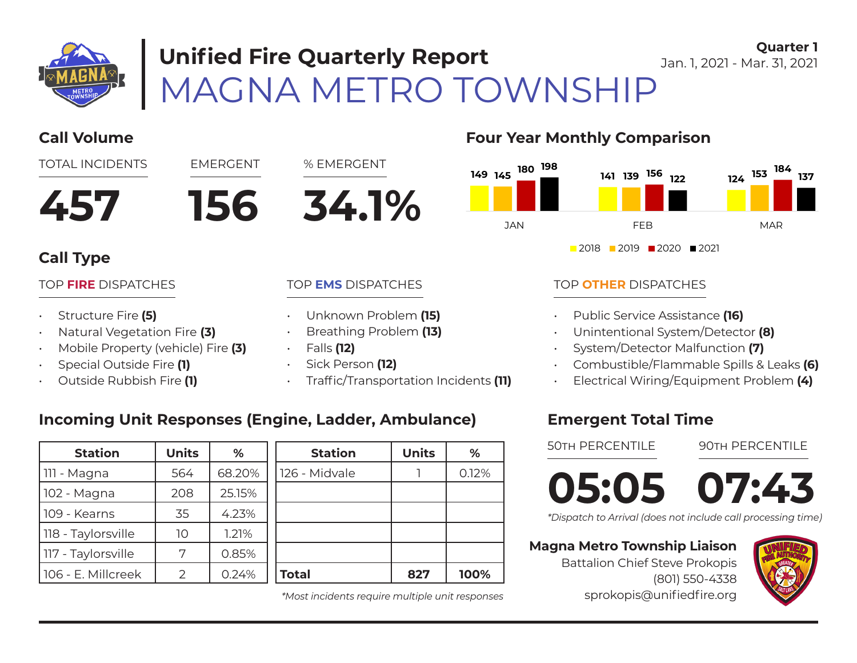

# MAGNA METRO TOWNSHIP **Unified Fire Quarterly Report**

**Quarter 1** Jan. 1, 2021 - Mar. 31, 2021



### **Call Type**

#### TOP **FIRE** DISPATCHES

- Structure Fire **(5)**
- Natural Vegetation Fire **(3)**
- Mobile Property (vehicle) Fire **(3)**
- Special Outside Fire **(1)**
- Outside Rubbish Fire **(1)**

#### TOP **EMS** DISPATCHES

- Unknown Problem **(15)**
- Breathing Problem **(13)**
- Falls **(12)**
- Sick Person **(12)**
- Traffic/Transportation Incidents **(11)**

### **Incoming Unit Responses (Engine, Ladder, Ambulance)**

| <b>Station</b>     | <b>Units</b> | %      | <b>Station</b> | <b>Units</b> | %     |
|--------------------|--------------|--------|----------------|--------------|-------|
| 111 - Magna        | 564          | 68.20% | 126 - Midvale  |              | 0.12% |
| 102 - Magna        | 208          | 25.15% |                |              |       |
| 109 - Kearns       | 35           | 4.23%  |                |              |       |
| 118 - Taylorsville | 10           | 1.21%  |                |              |       |
| 117 - Taylorsville | 7            | 0.85%  |                |              |       |
| 106 - E. Millcreek | フ            | 0.24%  | <b>Total</b>   | 827          | 100%  |

*\*Most incidents require multiple unit responses*

### **Four Year Monthly Comparison**



#### TOP **OTHER** DISPATCHES

- Public Service Assistance **(16)**
- Unintentional System/Detector **(8)**
- System/Detector Malfunction **(7)**
- Combustible/Flammable Spills & Leaks **(6)**
- Electrical Wiring/Equipment Problem **(4)**

### **Emergent Total Time**

50th PERCENTILE

90th PERCENTILE

**05:05 07:43**

*\*Dispatch to Arrival (does not include call processing time)*

#### **Magna Metro Township Liaison**

Battalion Chief Steve Prokopis (801) 550-4338 sprokopis@unifiedfire.org

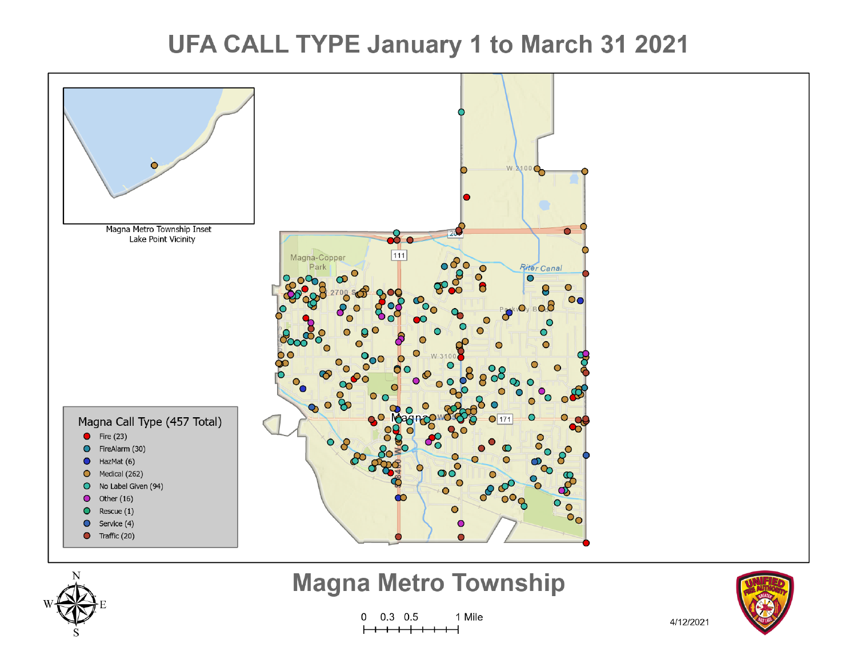## **UFA CALL TYPE January 1 to March 31 2021**





## **Magna Metro Township**

 $0.3$  0.5 1 Mile 0



4/12/2021